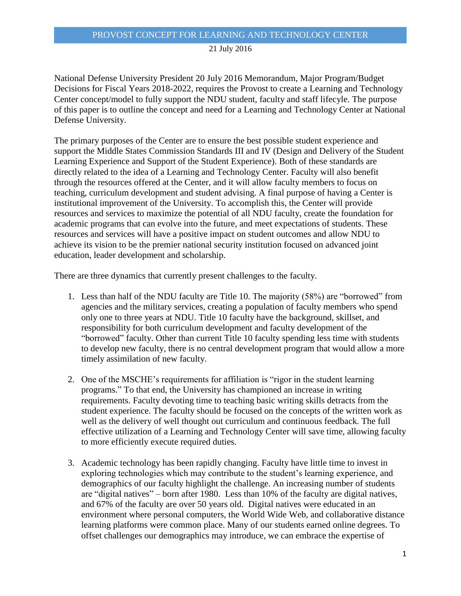## PROVOST CONCEPT FOR LEARNING AND TECHNOLOGY CENTER

# 21 July 2016

National Defense University President 20 July 2016 Memorandum, Major Program/Budget Decisions for Fiscal Years 2018-2022, requires the Provost to create a Learning and Technology Center concept/model to fully support the NDU student, faculty and staff lifecyle. The purpose of this paper is to outline the concept and need for a Learning and Technology Center at National Defense University.

The primary purposes of the Center are to ensure the best possible student experience and support the Middle States Commission Standards III and IV (Design and Delivery of the Student Learning Experience and Support of the Student Experience). Both of these standards are directly related to the idea of a Learning and Technology Center. Faculty will also benefit through the resources offered at the Center, and it will allow faculty members to focus on teaching, curriculum development and student advising. A final purpose of having a Center is institutional improvement of the University. To accomplish this, the Center will provide resources and services to maximize the potential of all NDU faculty, create the foundation for academic programs that can evolve into the future, and meet expectations of students. These resources and services will have a positive impact on student outcomes and allow NDU to achieve its vision to be the premier national security institution focused on advanced joint education, leader development and scholarship.

There are three dynamics that currently present challenges to the faculty.

- 1. Less than half of the NDU faculty are Title 10. The majority (58%) are "borrowed" from agencies and the military services, creating a population of faculty members who spend only one to three years at NDU. Title 10 faculty have the background, skillset, and responsibility for both curriculum development and faculty development of the "borrowed" faculty. Other than current Title 10 faculty spending less time with students to develop new faculty, there is no central development program that would allow a more timely assimilation of new faculty.
- 2. One of the MSCHE's requirements for affiliation is "rigor in the student learning programs." To that end, the University has championed an increase in writing requirements. Faculty devoting time to teaching basic writing skills detracts from the student experience. The faculty should be focused on the concepts of the written work as well as the delivery of well thought out curriculum and continuous feedback. The full effective utilization of a Learning and Technology Center will save time, allowing faculty to more efficiently execute required duties.
- 3. Academic technology has been rapidly changing. Faculty have little time to invest in exploring technologies which may contribute to the student's learning experience, and demographics of our faculty highlight the challenge. An increasing number of students are "digital natives" – born after 1980. Less than 10% of the faculty are digital natives, and 67% of the faculty are over 50 years old. Digital natives were educated in an environment where personal computers, the World Wide Web, and collaborative distance learning platforms were common place. Many of our students earned online degrees. To offset challenges our demographics may introduce, we can embrace the expertise of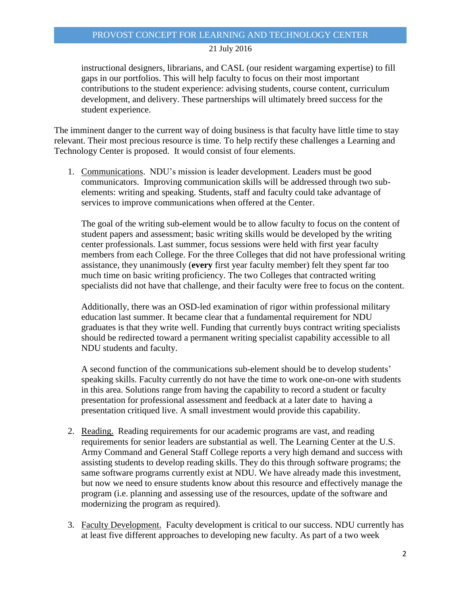### 21 July 2016

instructional designers, librarians, and CASL (our resident wargaming expertise) to fill gaps in our portfolios. This will help faculty to focus on their most important contributions to the student experience: advising students, course content, curriculum development, and delivery. These partnerships will ultimately breed success for the student experience.

The imminent danger to the current way of doing business is that faculty have little time to stay relevant. Their most precious resource is time. To help rectify these challenges a Learning and Technology Center is proposed. It would consist of four elements.

1. Communications. NDU's mission is leader development. Leaders must be good communicators. Improving communication skills will be addressed through two subelements: writing and speaking. Students, staff and faculty could take advantage of services to improve communications when offered at the Center.

The goal of the writing sub-element would be to allow faculty to focus on the content of student papers and assessment; basic writing skills would be developed by the writing center professionals. Last summer, focus sessions were held with first year faculty members from each College. For the three Colleges that did not have professional writing assistance, they unanimously (**every** first year faculty member) felt they spent far too much time on basic writing proficiency. The two Colleges that contracted writing specialists did not have that challenge, and their faculty were free to focus on the content.

Additionally, there was an OSD-led examination of rigor within professional military education last summer. It became clear that a fundamental requirement for NDU graduates is that they write well. Funding that currently buys contract writing specialists should be redirected toward a permanent writing specialist capability accessible to all NDU students and faculty.

A second function of the communications sub-element should be to develop students' speaking skills. Faculty currently do not have the time to work one-on-one with students in this area. Solutions range from having the capability to record a student or faculty presentation for professional assessment and feedback at a later date to having a presentation critiqued live. A small investment would provide this capability.

- 2. Reading. Reading requirements for our academic programs are vast, and reading requirements for senior leaders are substantial as well. The Learning Center at the U.S. Army Command and General Staff College reports a very high demand and success with assisting students to develop reading skills. They do this through software programs; the same software programs currently exist at NDU. We have already made this investment, but now we need to ensure students know about this resource and effectively manage the program (i.e. planning and assessing use of the resources, update of the software and modernizing the program as required).
- 3. Faculty Development. Faculty development is critical to our success. NDU currently has at least five different approaches to developing new faculty. As part of a two week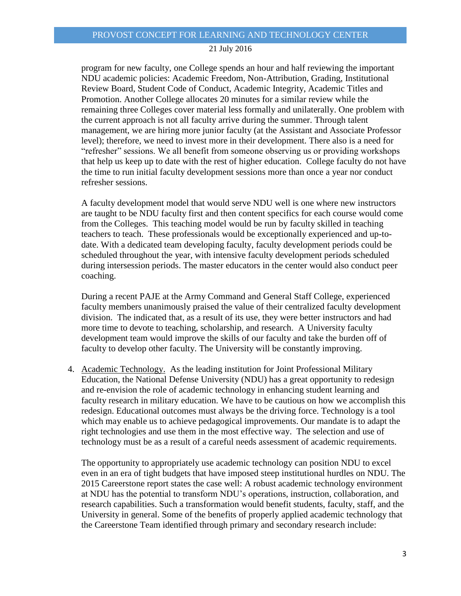### 21 July 2016

program for new faculty, one College spends an hour and half reviewing the important NDU academic policies: Academic Freedom, Non-Attribution, Grading, Institutional Review Board, Student Code of Conduct, Academic Integrity, Academic Titles and Promotion. Another College allocates 20 minutes for a similar review while the remaining three Colleges cover material less formally and unilaterally. One problem with the current approach is not all faculty arrive during the summer. Through talent management, we are hiring more junior faculty (at the Assistant and Associate Professor level); therefore, we need to invest more in their development. There also is a need for "refresher" sessions. We all benefit from someone observing us or providing workshops that help us keep up to date with the rest of higher education. College faculty do not have the time to run initial faculty development sessions more than once a year nor conduct refresher sessions.

A faculty development model that would serve NDU well is one where new instructors are taught to be NDU faculty first and then content specifics for each course would come from the Colleges. This teaching model would be run by faculty skilled in teaching teachers to teach. These professionals would be exceptionally experienced and up-todate. With a dedicated team developing faculty, faculty development periods could be scheduled throughout the year, with intensive faculty development periods scheduled during intersession periods. The master educators in the center would also conduct peer coaching.

During a recent PAJE at the Army Command and General Staff College, experienced faculty members unanimously praised the value of their centralized faculty development division. The indicated that, as a result of its use, they were better instructors and had more time to devote to teaching, scholarship, and research. A University faculty development team would improve the skills of our faculty and take the burden off of faculty to develop other faculty. The University will be constantly improving.

4. Academic Technology. As the leading institution for Joint Professional Military Education, the National Defense University (NDU) has a great opportunity to redesign and re-envision the role of academic technology in enhancing student learning and faculty research in military education. We have to be cautious on how we accomplish this redesign. Educational outcomes must always be the driving force. Technology is a tool which may enable us to achieve pedagogical improvements. Our mandate is to adapt the right technologies and use them in the most effective way. The selection and use of technology must be as a result of a careful needs assessment of academic requirements.

The opportunity to appropriately use academic technology can position NDU to excel even in an era of tight budgets that have imposed steep institutional hurdles on NDU. The 2015 Careerstone report states the case well: A robust academic technology environment at NDU has the potential to transform NDU's operations, instruction, collaboration, and research capabilities. Such a transformation would benefit students, faculty, staff, and the University in general. Some of the benefits of properly applied academic technology that the Careerstone Team identified through primary and secondary research include: